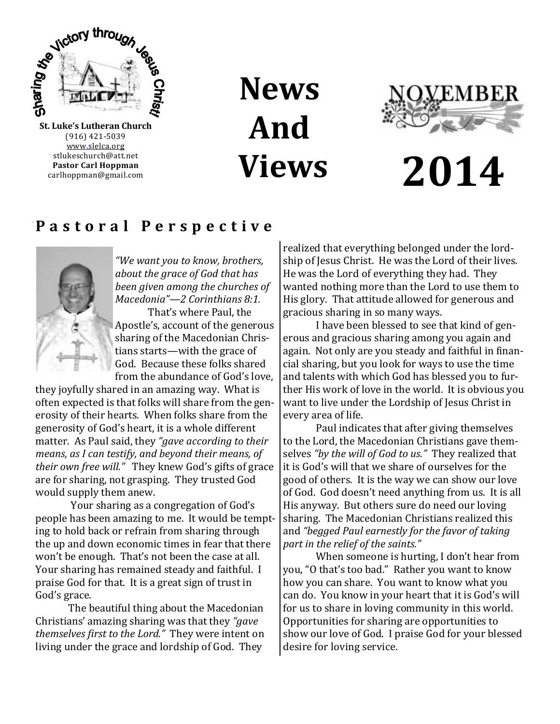

(916) 421-5039 [www.slelca.org](http://www.luther95.net/SLLC-SCA) stlukeschurch@att.net **Pastor Carl Hoppman** carlhoppman@gmail.com

# **News And Views**



# **2014**

### **P a s t o r a l P e r s p e c t i v e**



*"We want you to know, brothers, about the grace of God that has been given among the churches of Macedonia"*—*2 Corinthians 8:1.* 

That's where Paul, the Apostle's, account of the generous sharing of the Macedonian Christians starts—with the grace of God. Because these folks shared from the abundance of God's love,

they joyfully shared in an amazing way. What is often expected is that folks will share from the generosity of their hearts. When folks share from the generosity of God's heart, it is a whole different matter. As Paul said, they *"gave according to their means, as I can testify, and beyond their means, of their own free will."* They knew God's gifts of grace are for sharing, not grasping. They trusted God would supply them anew.

Your sharing as a congregation of God's people has been amazing to me. It would be tempting to hold back or refrain from sharing through the up and down economic times in fear that there won't be enough. That's not been the case at all. Your sharing has remained steady and faithful. I praise God for that. It is a great sign of trust in God's grace.

The beautiful thing about the Macedonian Christians' amazing sharing was that they *"gave themselves first to the Lord."* They were intent on living under the grace and lordship of God. They

realized that everything belonged under the lordship of Jesus Christ. He was the Lord of their lives. He was the Lord of everything they had. They wanted nothing more than the Lord to use them to His glory. That attitude allowed for generous and gracious sharing in so many ways.

I have been blessed to see that kind of generous and gracious sharing among you again and again. Not only are you steady and faithful in financial sharing, but you look for ways to use the time and talents with which God has blessed you to further His work of love in the world. It is obvious you want to live under the Lordship of Jesus Christ in every area of life.

Paul indicates that after giving themselves to the Lord, the Macedonian Christians gave themselves *"by the will of God to us."* They realized that it is God's will that we share of ourselves for the good of others. It is the way we can show our love of God. God doesn't need anything from us. It is all His anyway. But others sure do need our loving sharing. The Macedonian Christians realized this and *"begged Paul earnestly for the favor of taking part in the relief of the saints."*

When someone is hurting, I don't hear from you, "O that's too bad." Rather you want to know how you can share. You want to know what you can do. You know in your heart that it is God's will for us to share in loving community in this world. Opportunities for sharing are opportunities to show our love of God. I praise God for your blessed desire for loving service.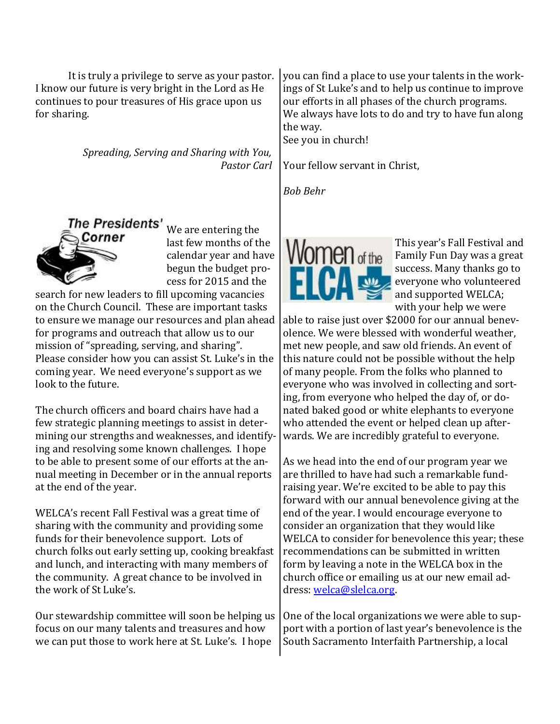It is truly a privilege to serve as your pastor. I know our future is very bright in the Lord as He continues to pour treasures of His grace upon us for sharing.

> *Spreading, Serving and Sharing with You, Pastor Carl*



We are entering the last few months of the calendar year and have begun the budget process for 2015 and the

search for new leaders to fill upcoming vacancies on the Church Council. These are important tasks to ensure we manage our resources and plan ahead for programs and outreach that allow us to our mission of "spreading, serving, and sharing". Please consider how you can assist St. Luke's in the coming year. We need everyone's support as we look to the future.

The church officers and board chairs have had a few strategic planning meetings to assist in determining our strengths and weaknesses, and identifying and resolving some known challenges. I hope to be able to present some of our efforts at the annual meeting in December or in the annual reports at the end of the year.

WELCA's recent Fall Festival was a great time of sharing with the community and providing some funds for their benevolence support. Lots of church folks out early setting up, cooking breakfast and lunch, and interacting with many members of the community. A great chance to be involved in the work of St Luke's.

Our stewardship committee will soon be helping us focus on our many talents and treasures and how we can put those to work here at St. Luke's. I hope

you can find a place to use your talents in the workings of St Luke's and to help us continue to improve our efforts in all phases of the church programs. We always have lots to do and try to have fun along the way.

See you in church!

Your fellow servant in Christ,

*Bob Behr*



This year's Fall Festival and Family Fun Day was a great success. Many thanks go to everyone who volunteered and supported WELCA; with your help we were

able to raise just over \$2000 for our annual benevolence. We were blessed with wonderful weather, met new people, and saw old friends. An event of this nature could not be possible without the help of many people. From the folks who planned to everyone who was involved in collecting and sorting, from everyone who helped the day of, or donated baked good or white elephants to everyone who attended the event or helped clean up afterwards. We are incredibly grateful to everyone.

As we head into the end of our program year we are thrilled to have had such a remarkable fundraising year. We're excited to be able to pay this forward with our annual benevolence giving at the end of the year. I would encourage everyone to consider an organization that they would like WELCA to consider for benevolence this year; these recommendations can be submitted in written form by leaving a note in the WELCA box in the church office or emailing us at our new email address: [welca@slelca.org.](mailto:welca@slelca.org)

One of the local organizations we were able to support with a portion of last year's benevolence is the South Sacramento Interfaith Partnership, a local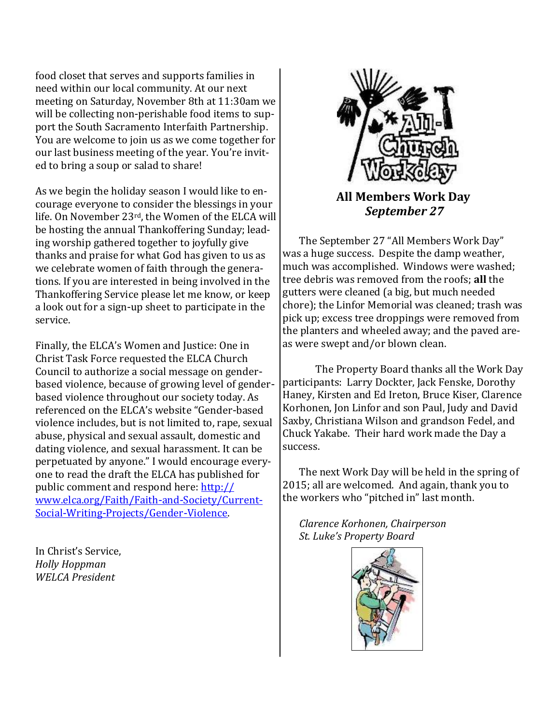food closet that serves and supports families in need within our local community. At our next meeting on Saturday, November 8th at 11:30am we will be collecting non-perishable food items to support the [South Sacramento Interfaith Partnership.](http://www.pages.drexel.edu/~bb487/final/finalIndex.html) You are welcome to join us as we come together for our last business meeting of the year. You're invited to bring a soup or salad to share!

As we begin the holiday season I would like to encourage everyone to consider the blessings in your life. On November 23rd, the Women of the ELCA will be hosting the annual Thankoffering Sunday; leading worship gathered together to joyfully give thanks and praise for what God has given to us as we celebrate women of faith through the generations. If you are interested in being involved in the Thankoffering Service please let me know, or keep a look out for a sign-up sheet to participate in the service.

Finally, the ELCA's Women and Justice: One in Christ Task Force requested the ELCA Church Council to authorize a social message on genderbased violence, because of growing level of genderbased violence throughout our society today. As referenced on the ELCA's website "Gender-based violence includes, but is not limited to, rape, sexual abuse, physical and sexual assault, domestic and dating violence, and sexual harassment. It can be perpetuated by anyone." I would encourage everyone to read the draft the ELCA has published for public comment and respond here: [http://](http://www.elca.org/Faith/Faith-and-Society/Current-Social-Writing-Projects/Gender-Violence) [www.elca.org/Faith/Faith-and-Society/Current-](http://www.elca.org/Faith/Faith-and-Society/Current-Social-Writing-Projects/Gender-Violence)[Social-Writing-Projects/Gender-Violence.](http://www.elca.org/Faith/Faith-and-Society/Current-Social-Writing-Projects/Gender-Violence)

In Christ's Service, *Holly Hoppman WELCA President*



The September 27 "All Members Work Day" was a huge success. Despite the damp weather, much was accomplished. Windows were washed; tree debris was removed from the roofs; **all** the gutters were cleaned (a big, but much needed chore); the Linfor Memorial was cleaned; trash was pick up; excess tree droppings were removed from the planters and wheeled away; and the paved areas were swept and/or blown clean.

The Property Board thanks all the Work Day participants: Larry Dockter, Jack Fenske, Dorothy Haney, Kirsten and Ed Ireton, Bruce Kiser, Clarence Korhonen, Jon Linfor and son Paul, Judy and David Saxby, Christiana Wilson and grandson Fedel, and Chuck Yakabe. Their hard work made the Day a success.

The next Work Day will be held in the spring of 2015; all are welcomed. And again, thank you to the workers who "pitched in" last month.

*Clarence Korhonen, Chairperson St. Luke's Property Board*

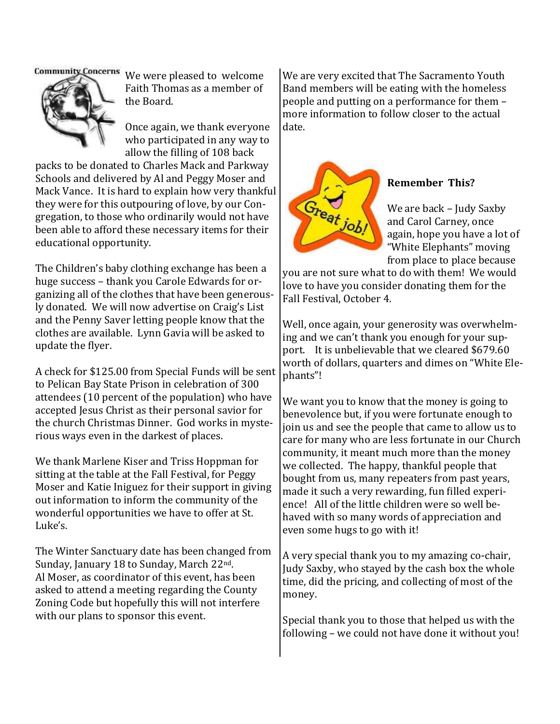

Community Concerns We were pleased to welcome Faith Thomas as a member of the Board.

> Once again, we thank everyone who participated in any way to allow the filling of 108 back

packs to be donated to Charles Mack and Parkway Schools and delivered by Al and Peggy Moser and Mack Vance. It is hard to explain how very thankful they were for this outpouring of love, by our Congregation, to those who ordinarily would not have been able to afford these necessary items for their educational opportunity.

The Children's baby clothing exchange has been a huge success – thank you Carole Edwards for organizing all of the clothes that have been generously donated. We will now advertise on Craig's List and the Penny Saver letting people know that the clothes are available. Lynn Gavia will be asked to update the flyer.

A check for \$125.00 from Special Funds will be sent to Pelican Bay State Prison in celebration of 300 attendees (10 percent of the population) who have accepted Jesus Christ as their personal savior for the church Christmas Dinner. God works in mysterious ways even in the darkest of places.

We thank Marlene Kiser and Triss Hoppman for sitting at the table at the Fall Festival, for Peggy Moser and Katie Iniguez for their support in giving out information to inform the community of the wonderful opportunities we have to offer at St. Luke's.

The Winter Sanctuary date has been changed from Sunday, January 18 to Sunday, March 22<sup>nd</sup>. Al Moser, as coordinator of this event, has been asked to attend a meeting regarding the County Zoning Code but hopefully this will not interfere with our plans to sponsor this event.

We are very excited that The Sacramento Youth Band members will be eating with the homeless people and putting on a performance for them – more information to follow closer to the actual date.



#### **Remember This?**

We are back – Judy Saxby and Carol Carney, once again, hope you have a lot of "White Elephants" moving from place to place because

you are not sure what to do with them! We would love to have you consider donating them for the Fall Festival, October 4.

Well, once again, your generosity was overwhelming and we can't thank you enough for your support. It is unbelievable that we cleared \$679.60 worth of dollars, quarters and dimes on "White Elephants"!

We want you to know that the money is going to benevolence but, if you were fortunate enough to join us and see the people that came to allow us to care for many who are less fortunate in our Church community, it meant much more than the money we collected. The happy, thankful people that bought from us, many repeaters from past years, made it such a very rewarding, fun filled experience! All of the little children were so well behaved with so many words of appreciation and even some hugs to go with it!

A very special thank you to my amazing co-chair, Judy Saxby, who stayed by the cash box the whole time, did the pricing, and collecting of most of the money.

Special thank you to those that helped us with the following – we could not have done it without you!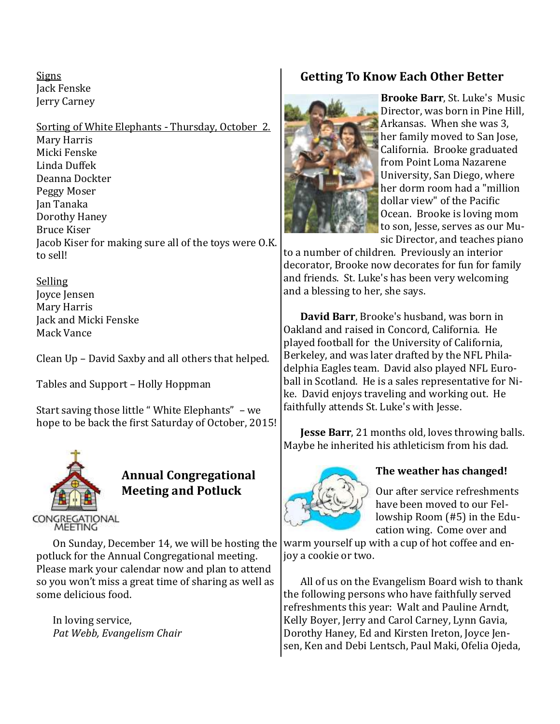**Signs** Jack Fenske Jerry Carney

Sorting of White Elephants - Thursday, October 2. Mary Harris Micki Fenske Linda Duffek Deanna Dockter Peggy Moser Jan Tanaka Dorothy Haney Bruce Kiser Jacob Kiser for making sure all of the toys were O.K. to sell!

Selling Joyce Jensen Mary Harris Jack and Micki Fenske Mack Vance

Clean Up – David Saxby and all others that helped.

Tables and Support – Holly Hoppman

Start saving those little " White Elephants" – we hope to be back the first Saturday of October, 2015!



#### **Annual Congregational Meeting and Potluck**

On Sunday, December 14, we will be hosting the potluck for the Annual Congregational meeting. Please mark your calendar now and plan to attend so you won't miss a great time of sharing as well as some delicious food.

In loving service, *Pat Webb, Evangelism Chair*

#### **Getting To Know Each Other Better**



**Brooke Barr**, St. Luke's Music Director, was born in Pine Hill, Arkansas. When she was 3, her family moved to San Jose, California. Brooke graduated from Point Loma Nazarene University, San Diego, where her dorm room had a "million dollar view" of the Pacific Ocean. Brooke is loving mom to son, Jesse, serves as our Music Director, and teaches piano

to a number of children. Previously an interior decorator, Brooke now decorates for fun for family and friends. St. Luke's has been very welcoming and a blessing to her, she says.

**David Barr**, Brooke's husband, was born in Oakland and raised in Concord, California. He played football for the University of California, Berkeley, and was later drafted by the NFL Philadelphia Eagles team. David also played NFL Euroball in Scotland. He is a sales representative for Nike. David enjoys traveling and working out. He faithfully attends St. Luke's with Jesse.

**Jesse Barr**, 21 months old, loves throwing balls. Maybe he inherited his athleticism from his dad.



#### **The weather has changed!**

Our after service refreshments have been moved to our Fellowship Room (#5) in the Education wing. Come over and

warm yourself up with a cup of hot coffee and enjoy a cookie or two.

All of us on the Evangelism Board wish to thank the following persons who have faithfully served refreshments this year: Walt and Pauline Arndt, Kelly Boyer, Jerry and Carol Carney, Lynn Gavia, Dorothy Haney, Ed and Kirsten Ireton, Joyce Jensen, Ken and Debi Lentsch, Paul Maki, Ofelia Ojeda,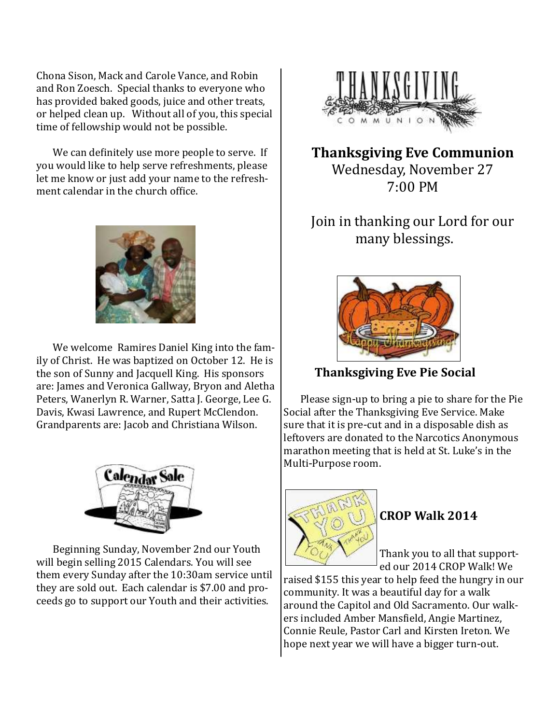Chona Sison, Mack and Carole Vance, and Robin and Ron Zoesch. Special thanks to everyone who has provided baked goods, juice and other treats, or helped clean up. Without all of you, this special time of fellowship would not be possible.

We can definitely use more people to serve. If you would like to help serve refreshments, please let me know or just add your name to the refreshment calendar in the church office.



We welcome Ramires Daniel King into the family of Christ. He was baptized on October 12. He is the son of Sunny and Jacquell King. His sponsors are: James and Veronica Gallway, Bryon and Aletha Peters, Wanerlyn R. Warner, Satta J. George, Lee G. Davis, Kwasi Lawrence, and Rupert McClendon. Grandparents are: Jacob and Christiana Wilson.



Beginning Sunday, November 2nd our Youth will begin selling 2015 Calendars. You will see them every Sunday after the 10:30am service until they are sold out. Each calendar is \$7.00 and proceeds go to support our Youth and their activities.



**Thanksgiving Eve Communion** Wednesday, November 27 7:00 PM

## Join in thanking our Lord for our many blessings.



 **Thanksgiving Eve Pie Social**

Please sign-up to bring a pie to share for the Pie Social after the Thanksgiving Eve Service. Make sure that it is pre-cut and in a disposable dish as leftovers are donated to the Narcotics Anonymous marathon meeting that is held at St. Luke's in the Multi-Purpose room.



### **CROP Walk 2014**

Thank you to all that supported our 2014 CROP Walk! We

raised \$155 this year to help feed the hungry in our community. It was a beautiful day for a walk around the Capitol and Old Sacramento. Our walkers included Amber Mansfield, Angie Martinez, Connie Reule, Pastor Carl and Kirsten Ireton. We hope next year we will have a bigger turn-out.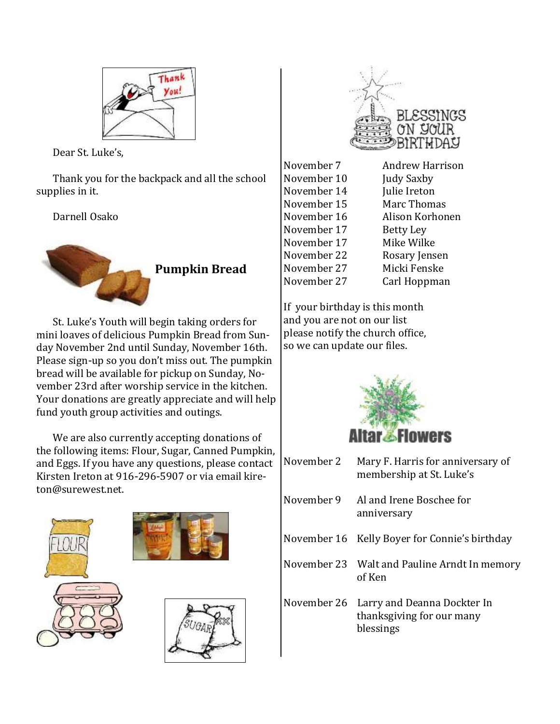

Dear St. Luke's,

Thank you for the backpack and all the school supplies in it.

Darnell Osako



St. Luke's Youth will begin taking orders for mini loaves of delicious Pumpkin Bread from Sunday November 2nd until Sunday, November 16th. Please sign-up so you don't miss out. The pumpkin bread will be available for pickup on Sunday, November 23rd after worship service in the kitchen. Your donations are greatly appreciate and will help fund youth group activities and outings.

We are also currently accepting donations of the following items: Flour, Sugar, Canned Pumpkin, and Eggs. If you have any questions, please contact Kirsten Ireton at 916-296-5907 or via email kireton@surewest.net.









| November 7  | <b>Andrew Harrison</b> |
|-------------|------------------------|
| November 10 | Judy Saxby             |
| November 14 | Julie Ireton           |
| November 15 | Marc Thomas            |
| November 16 | Alison Korhonen        |
| November 17 | <b>Betty Ley</b>       |
| November 17 | Mike Wilke             |
| November 22 | Rosary Jensen          |
| November 27 | Micki Fenske           |
| November 27 | Carl Hoppman           |

If your birthday is this month and you are not on our list please notify the church office, so we can update our files.



| November 2 | Mary F. Harris for anniversary of<br>membership at St. Luke's                     |
|------------|-----------------------------------------------------------------------------------|
| November 9 | Al and Irene Boschee for<br>anniversary                                           |
|            | November 16 Kelly Boyer for Connie's birthday                                     |
|            | November 23 Walt and Pauline Arndt In memory<br>of Ken                            |
|            | November 26 Larry and Deanna Dockter In<br>thanksgiving for our many<br>blessings |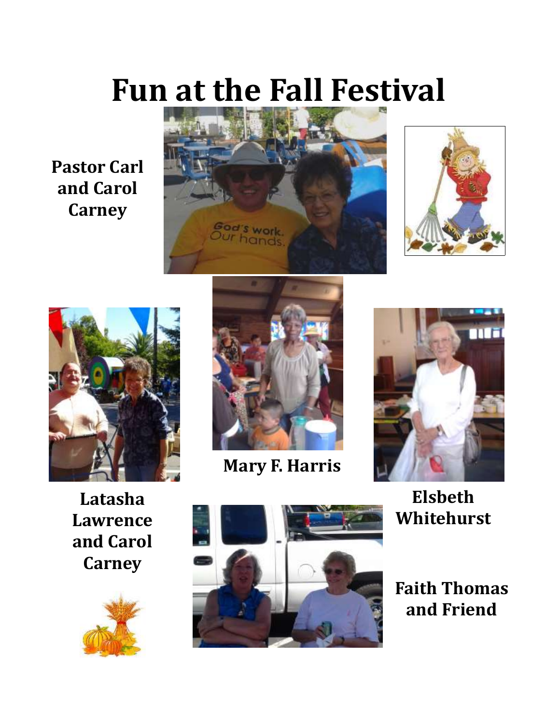# **Fun at the Fall Festival**

**Pastor Carl and Carol Carney**









**Mary F. Harris**



**Elsbeth Whitehurst**

**Faith Thomas and Friend**

**Latasha Lawrence and Carol Carney**



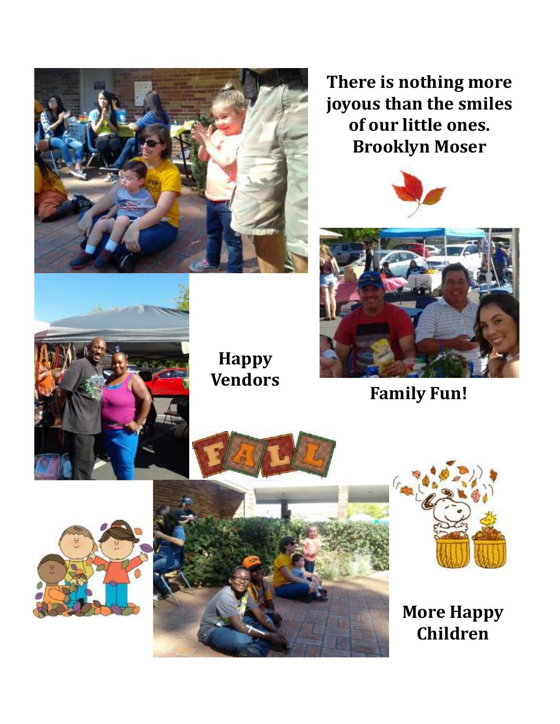

**There is nothing more joyous than the smiles of our little ones. Brooklyn Moser**





**Family Fun!**



## **Happy Vendors**





**More Happy Children**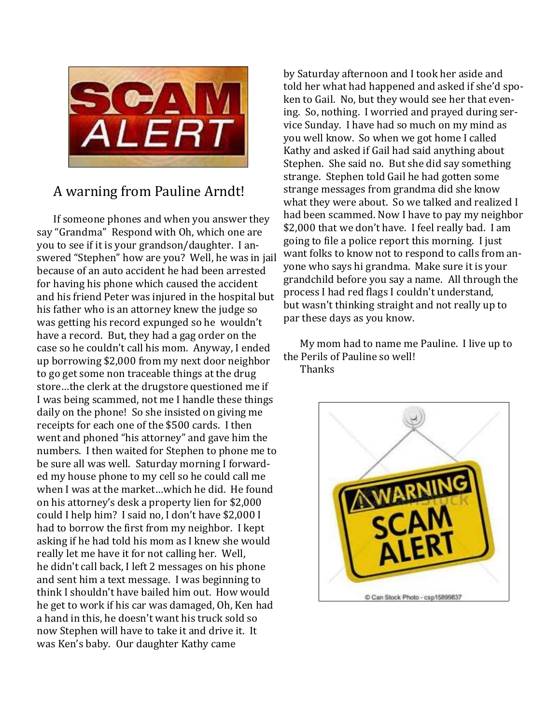

### A warning from Pauline Arndt!

If someone phones and when you answer they say "Grandma" Respond with Oh, which one are you to see if it is your grandson/daughter. I answered "Stephen" how are you? Well, he was in jail because of an auto accident he had been arrested for having his phone which caused the accident and his friend Peter was injured in the hospital but his father who is an attorney knew the judge so was getting his record expunged so he wouldn't have a record. But, they had a gag order on the case so he couldn't call his mom. Anyway, I ended up borrowing \$2,000 from my next door neighbor to go get some non traceable things at the drug store…the clerk at the drugstore questioned me if I was being scammed, not me I handle these things daily on the phone! So she insisted on giving me receipts for each one of the \$500 cards. I then went and phoned "his attorney" and gave him the numbers. I then waited for Stephen to phone me to be sure all was well. Saturday morning I forwarded my house phone to my cell so he could call me when I was at the market…which he did. He found on his attorney's desk a property lien for \$2,000 could I help him? I said no, I don't have \$2,000 I had to borrow the first from my neighbor. I kept asking if he had told his mom as I knew she would really let me have it for not calling her. Well, he didn't call back, I left 2 messages on his phone and sent him a text message. I was beginning to think I shouldn't have bailed him out. How would he get to work if his car was damaged, Oh, Ken had a hand in this, he doesn't want his truck sold so now Stephen will have to take it and drive it. It was Ken's baby. Our daughter Kathy came

by Saturday afternoon and I took her aside and told her what had happened and asked if she'd spoken to Gail. No, but they would see her that evening. So, nothing. I worried and prayed during service Sunday. I have had so much on my mind as you well know. So when we got home I called Kathy and asked if Gail had said anything about Stephen. She said no. But she did say something strange. Stephen told Gail he had gotten some strange messages from grandma did she know what they were about. So we talked and realized I had been scammed. Now I have to pay my neighbor \$2,000 that we don't have. I feel really bad. I am going to file a police report this morning. I just want folks to know not to respond to calls from anyone who says hi grandma. Make sure it is your grandchild before you say a name. All through the process I had red flags I couldn't understand, but wasn't thinking straight and not really up to par these days as you know.

My mom had to name me Pauline. I live up to the Perils of Pauline so well! **Thanks** 

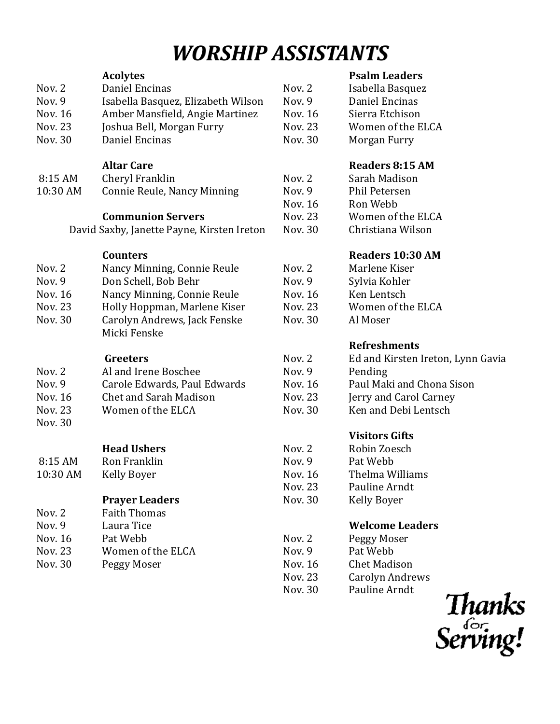## *WORSHIP ASSISTANTS*

|                | <b>Acolytes</b>                              |                    | <b>Psalm Leaders</b>              |
|----------------|----------------------------------------------|--------------------|-----------------------------------|
| Nov. $2$       | Daniel Encinas                               | Nov. 2             | Isabella Basquez                  |
| Nov. 9         | Isabella Basquez, Elizabeth Wilson           | Nov. 9             | Daniel Encinas                    |
| <b>Nov. 16</b> | Amber Mansfield, Angie Martinez              | Nov. 16            | Sierra Etchison                   |
| Nov. 23        | Joshua Bell, Morgan Furry                    | <b>Nov. 23</b>     | Women of the ELCA                 |
| Nov. 30        | Daniel Encinas                               | Nov. 30            | Morgan Furry                      |
|                | <b>Altar Care</b>                            |                    | <b>Readers 8:15 AM</b>            |
| 8:15 AM        | Cheryl Franklin                              | Nov. 2             | Sarah Madison                     |
| 10:30 AM       | Connie Reule, Nancy Minning                  | Nov. 9             | <b>Phil Petersen</b>              |
|                |                                              | Nov. 16            | Ron Webb                          |
|                | <b>Communion Servers</b>                     | Nov. 23            | Women of the ELCA                 |
|                | David Saxby, Janette Payne, Kirsten Ireton   | Nov. 30            | Christiana Wilson                 |
|                | <b>Counters</b>                              |                    | Readers 10:30 AM                  |
| Nov. 2         | Nancy Minning, Connie Reule                  | Nov. 2             | Marlene Kiser                     |
| Nov. 9         | Don Schell, Bob Behr                         | Nov. 9             | Sylvia Kohler                     |
| <b>Nov. 16</b> | Nancy Minning, Connie Reule                  | Nov. 16            | Ken Lentsch                       |
| <b>Nov. 23</b> | Holly Hoppman, Marlene Kiser                 | Nov. 23            | Women of the ELCA                 |
| Nov. 30        | Carolyn Andrews, Jack Fenske                 | Nov. 30            | Al Moser                          |
|                | Micki Fenske                                 |                    |                                   |
|                |                                              |                    | <b>Refreshments</b>               |
|                | Greeters                                     | Nov. 2             | Ed and Kirsten Ireton, Lynn Gavia |
| Nov. 2         | Al and Irene Boschee                         | Nov. 9             | Pending                           |
| Nov. 9         | Carole Edwards, Paul Edwards                 | Nov. 16            | Paul Maki and Chona Sison         |
| <b>Nov. 16</b> | Chet and Sarah Madison                       | <b>Nov. 23</b>     | Jerry and Carol Carney            |
| Nov. 23        | Women of the ELCA                            | Nov. 30            | Ken and Debi Lentsch              |
| Nov. 30        |                                              |                    | <b>Visitors Gifts</b>             |
|                | <b>Head Ushers</b>                           | Nov. 2             | Robin Zoesch                      |
| 8:15 AM        | Ron Franklin                                 | Nov. 9             | Pat Webb                          |
|                |                                              |                    | Thelma Williams                   |
| 10:30 AM       | Kelly Boyer                                  | Nov. 16<br>Nov. 23 | Pauline Arndt                     |
|                |                                              | Nov. 30            |                                   |
| Nov. 2         | <b>Prayer Leaders</b><br><b>Faith Thomas</b> |                    | <b>Kelly Boyer</b>                |
| Nov. 9         |                                              |                    | <b>Welcome Leaders</b>            |
|                | Laura Tice                                   |                    |                                   |
| Nov. 16        | Pat Webb<br>Women of the ELCA                | Nov. 2<br>Nov. 9   | Peggy Moser<br>Pat Webb           |
| Nov. 23        |                                              |                    |                                   |
| Nov. 30        | Peggy Moser                                  | Nov. 16            | <b>Chet Madison</b>               |
|                |                                              | Nov. 23            | <b>Carolyn Andrews</b>            |

#### *<u>eaders</u>*

| Nov. 23<br>Nov. 30 | <b>Carolyn Andrews</b><br>Pauline Arndt | Thanks   |
|--------------------|-----------------------------------------|----------|
|                    |                                         | Serving! |